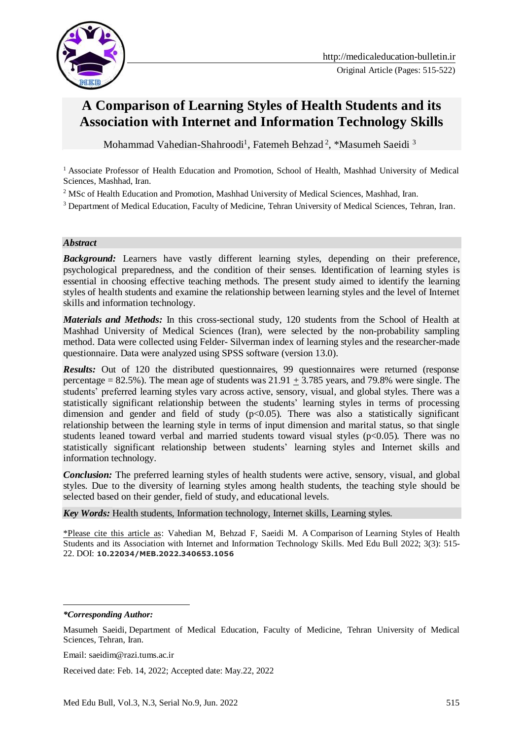

# **A Comparison of Learning Styles of Health Students and its Association with Internet and Information Technology Skills**

Mohammad Vahedian-Shahroodi<sup>1</sup>, Fatemeh Behzad<sup>2</sup>, \*Masumeh Saeidi<sup>3</sup>

<sup>1</sup> Associate Professor of Health Education and Promotion, School of Health, Mashhad University of Medical Sciences, Mashhad, Iran.

<sup>2</sup> MSc of Health Education and Promotion, Mashhad University of Medical Sciences, Mashhad, Iran.

<sup>3</sup> Department of Medical Education, Faculty of Medicine, Tehran University of Medical Sciences, Tehran, Iran.

#### *Abstract*

**Background:** Learners have vastly different learning styles, depending on their preference, psychological preparedness, and the condition of their senses. Identification of learning styles is essential in choosing effective teaching methods. The present study aimed to identify the learning styles of health students and examine the relationship between learning styles and the level of Internet skills and information technology.

*Materials and Methods:* In this cross-sectional study, 120 students from the School of Health at Mashhad University of Medical Sciences (Iran), were selected by the non-probability sampling method. Data were collected using Felder- Silverman index of learning styles and the researcher-made questionnaire. Data were analyzed using SPSS software (version 13.0).

**Results:** Out of 120 the distributed questionnaires, 99 questionnaires were returned (response percentage = 82.5%). The mean age of students was  $21.91 \pm 3.785$  years, and 79.8% were single. The students' preferred learning styles vary across active, sensory, visual, and global styles. There was a statistically significant relationship between the students' learning styles in terms of processing dimension and gender and field of study  $(p<0.05)$ . There was also a statistically significant relationship between the learning style in terms of input dimension and marital status, so that single students leaned toward verbal and married students toward visual styles  $(p<0.05)$ . There was no statistically significant relationship between students' learning styles and Internet skills and information technology.

*Conclusion:* The preferred learning styles of health students were active, sensory, visual, and global styles. Due to the diversity of learning styles among health students, the teaching style should be selected based on their gender, field of study, and educational levels.

*Key Words:* Health students, Information technology, Internet skills, Learning styles.

\*Please cite this article as: Vahedian M, Behzad F, Saeidi M. A Comparison of Learning Styles of Health Students and its Association with Internet and Information Technology Skills. Med Edu Bull 2022; 3(3): 515- 22. DOI: **10.22034/MEB.2022.340653.1056**

<u>.</u>

Email: saeidim@razi.tums.ac.ir

Received date: Feb. 14, 2022; Accepted date: May.22, 2022

*<sup>\*</sup>Corresponding Author:*

Masumeh Saeidi, Department of Medical Education, Faculty of Medicine, Tehran University of Medical Sciences, Tehran, Iran.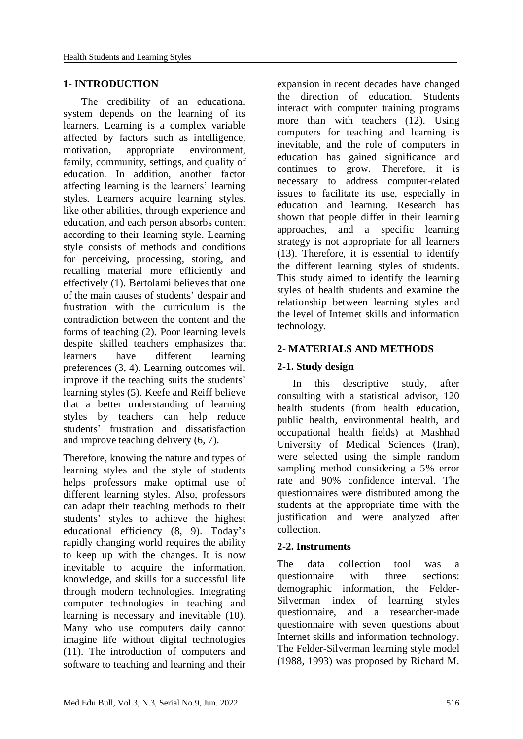#### **1- INTRODUCTION**

 The credibility of an educational system depends on the learning of its learners. Learning is a complex variable affected by factors such as intelligence, motivation, appropriate environment, family, community, settings, and quality of education. In addition, another factor affecting learning is the learners' learning styles. Learners acquire learning styles, like other abilities, through experience and education, and each person absorbs content according to their learning style. Learning style consists of methods and conditions for perceiving, processing, storing, and recalling material more efficiently and effectively (1). Bertolami believes that one of the main causes of students' despair and frustration with the curriculum is the contradiction between the content and the forms of teaching (2). Poor learning levels despite skilled teachers emphasizes that learners have different learning preferences (3, 4). Learning outcomes will improve if the teaching suits the students' learning styles (5). Keefe and Reiff believe that a better understanding of learning styles by teachers can help reduce students' frustration and dissatisfaction and improve teaching delivery (6, 7).

Therefore, knowing the nature and types of learning styles and the style of students helps professors make optimal use of different learning styles. Also, professors can adapt their teaching methods to their students' styles to achieve the highest educational efficiency (8, 9). Today's rapidly changing world requires the ability to keep up with the changes. It is now inevitable to acquire the information, knowledge, and skills for a successful life through modern technologies. Integrating computer technologies in teaching and learning is necessary and inevitable (10). Many who use computers daily cannot imagine life without digital technologies (11). The introduction of computers and software to teaching and learning and their expansion in recent decades have changed the direction of education. Students interact with computer training programs more than with teachers (12). Using computers for teaching and learning is inevitable, and the role of computers in education has gained significance and continues to grow. Therefore, it is necessary to address computer-related issues to facilitate its use, especially in education and learning. Research has shown that people differ in their learning approaches, and a specific learning strategy is not appropriate for all learners (13). Therefore, it is essential to identify the different learning styles of students. This study aimed to identify the learning styles of health students and examine the relationship between learning styles and the level of Internet skills and information technology.

## **2- MATERIALS AND METHODS**

### **2-1. Study design**

 In this descriptive study, after consulting with a statistical advisor, 120 health students (from health education, public health, environmental health, and occupational health fields) at Mashhad University of Medical Sciences (Iran), were selected using the simple random sampling method considering a 5% error rate and 90% confidence interval. The questionnaires were distributed among the students at the appropriate time with the justification and were analyzed after collection.

#### **2-2. Instruments**

The data collection tool was a questionnaire with three sections: demographic information, the Felder-Silverman index of learning styles questionnaire, and a researcher-made questionnaire with seven questions about Internet skills and information technology. The Felder-Silverman learning style model (1988, 1993) was proposed by Richard M.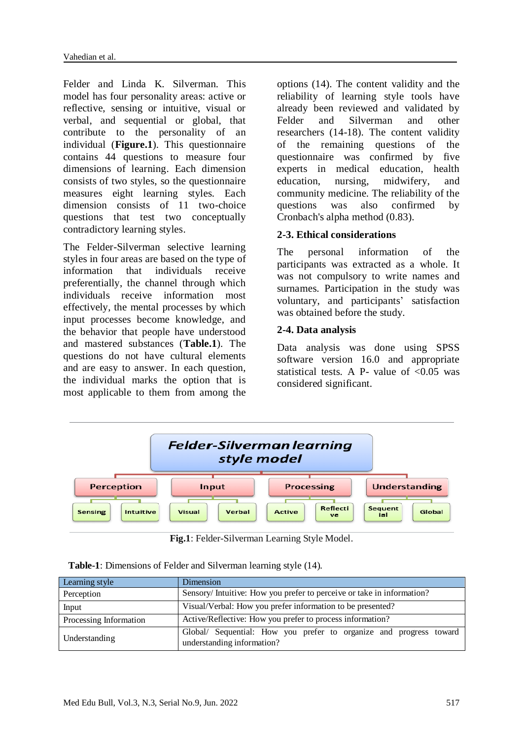Felder and Linda K. Silverman. This model has four personality areas: active or reflective, sensing or intuitive, visual or verbal, and sequential or global, that contribute to the personality of an individual (**Figure.1**). This questionnaire contains 44 questions to measure four dimensions of learning. Each dimension consists of two styles, so the questionnaire measures eight learning styles. Each dimension consists of 11 two-choice questions that test two conceptually contradictory learning styles.

The Felder-Silverman selective learning styles in four areas are based on the type of information that individuals receive preferentially, the channel through which individuals receive information most effectively, the mental processes by which input processes become knowledge, and the behavior that people have understood and mastered substances (**Table.1**). The questions do not have cultural elements and are easy to answer. In each question, the individual marks the option that is most applicable to them from among the options (14). The content validity and the reliability of learning style tools have already been reviewed and validated by Felder and Silverman and other researchers (14-18). The content validity of the remaining questions of the questionnaire was confirmed by five experts in medical education, health education, nursing, midwifery, and community medicine. The reliability of the questions was also confirmed by Cronbach's alpha method (0.83).

## **2-3. Ethical considerations**

The personal information of the participants was extracted as a whole. It was not compulsory to write names and surnames. Participation in the study was voluntary, and participants' satisfaction was obtained before the study.

## **2-4. Data analysis**

Data analysis was done using SPSS software version 16.0 and appropriate statistical tests. A P- value of  $\langle 0.05 \rangle$  was considered significant.



**Fig.1**: Felder-Silverman Learning Style Model.

| <b>Table-1</b> : Dimensions of Felder and Silverman learning style (14). |  |
|--------------------------------------------------------------------------|--|
|--------------------------------------------------------------------------|--|

| Learning style         | Dimension                                                                                        |  |  |  |  |
|------------------------|--------------------------------------------------------------------------------------------------|--|--|--|--|
| Perception             | Sensory/Intuitive: How you prefer to perceive or take in information?                            |  |  |  |  |
| Input                  | Visual/Verbal: How you prefer information to be presented?                                       |  |  |  |  |
| Processing Information | Active/Reflective: How you prefer to process information?                                        |  |  |  |  |
| Understanding          | Global/ Sequential: How you prefer to organize and progress toward<br>understanding information? |  |  |  |  |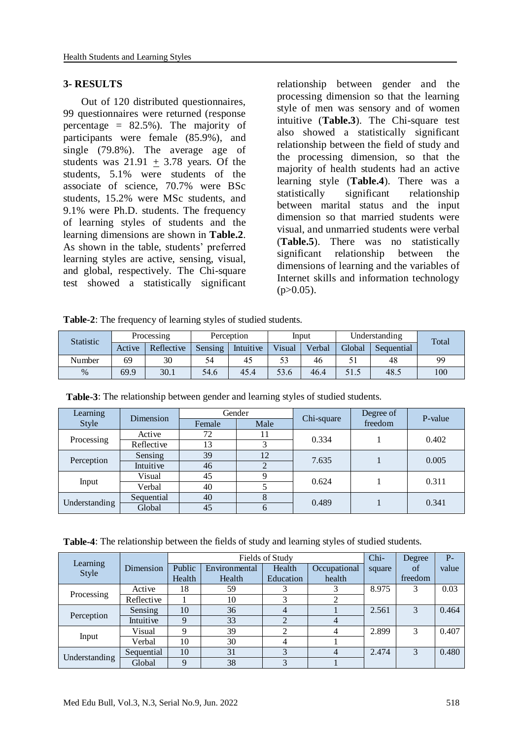#### **3- RESULTS**

 Out of 120 distributed questionnaires, 99 questionnaires were returned (response percentage  $= 82.5\%$ ). The majority of participants were female (85.9%), and single (79.8%). The average age of students was  $21.91 + 3.78$  years. Of the students, 5.1% were students of the associate of science, 70.7% were BSc students, 15.2% were MSc students, and 9.1% were Ph.D. students. The frequency of learning styles of students and the learning dimensions are shown in **Table.2**. As shown in the table, students' preferred learning styles are active, sensing, visual, and global, respectively. The Chi-square test showed a statistically significant

relationship between gender and the processing dimension so that the learning style of men was sensory and of women intuitive (**Table.3**). The Chi-square test also showed a statistically significant relationship between the field of study and the processing dimension, so that the majority of health students had an active learning style (**Table.4**). There was a statistically significant relationship between marital status and the input dimension so that married students were visual, and unmarried students were verbal (**Table.5**). There was no statistically significant relationship between the dimensions of learning and the variables of Internet skills and information technology  $(p>0.05)$ .

**Table-2**: The frequency of learning styles of studied students.

| <b>Statistic</b> | Processing |            | Perception |           | Input  |        | Understanding |            | Total |
|------------------|------------|------------|------------|-----------|--------|--------|---------------|------------|-------|
|                  | Active     | Reflective | Sensing    | Intuitive | Visual | Verbal | Global        | Sequential |       |
| Number           | 69         | 30         | 54         | 45        | 53     | 46     |               | 48         | 99    |
| $\%$             | 69.9       | 30.1       | 54.6       | 45.4      | 53.6   | 46.4   | 51.5          | 48.5       | 100   |

| Learning      | Dimension  | Gender |      |            | Degree of | P-value |  |
|---------------|------------|--------|------|------------|-----------|---------|--|
| Style         |            | Female | Male | Chi-square | freedom   |         |  |
|               | Active     | 72     | 11   | 0.334      |           | 0.402   |  |
| Processing    | Reflective | 13     | 3    |            |           |         |  |
| Perception    | Sensing    | 39     | 12   | 7.635      |           | 0.005   |  |
|               | Intuitive  | 46     | 2    |            |           |         |  |
|               | Visual     | 45     | 9    | 0.624      |           | 0.311   |  |
| Input         | Verbal     | 40     |      |            |           |         |  |
| Understanding | Sequential | 40     | 8    | 0.489      |           |         |  |
|               | Global     | 45     | 6    |            |           | 0.341   |  |

**Table-3**: The relationship between gender and learning styles of studied students.

**Table-4**: The relationship between the fields of study and learning styles of studied students.

|                   |            | Fields of Study |               |                |              |        | Degree  | $P -$ |
|-------------------|------------|-----------------|---------------|----------------|--------------|--------|---------|-------|
| Learning<br>Style | Dimension  | Public          | Environmental | Health         | Occupational | square | of      | value |
|                   |            | Health          | Health        | Education      | health       |        | freedom |       |
|                   | Active     | 18              | 59            |                |              | 8.975  | 3       | 0.03  |
| Processing        | Reflective |                 | 10            | 3              | 2            |        |         |       |
|                   | Sensing    | 10              | 36            | $\overline{4}$ |              | 2.561  | 3       | 0.464 |
| Perception        | Intuitive  | Q               | 33            | $\overline{2}$ |              |        |         |       |
|                   | Visual     | Q               | 39            | ↑              |              | 2.899  | 3       | 0.407 |
| Input             | Verbal     | 10              | 30            | 4              |              |        |         |       |
|                   | Sequential | 10              | 31            | 3              |              | 2.474  | 3       | 0.480 |
| Understanding     | Global     | $\mathbf Q$     | 38            | 3              |              |        |         |       |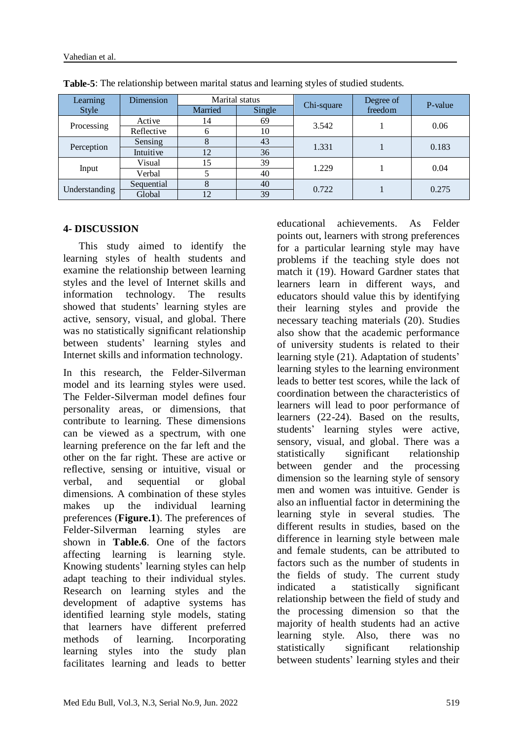| Learning      | Dimension  | Marital status |        |            | Degree of |         |  |
|---------------|------------|----------------|--------|------------|-----------|---------|--|
| Style         |            | Married        | Single | Chi-square | freedom   | P-value |  |
|               | Active     | 14             | 69     | 3.542      |           | 0.06    |  |
| Processing    | Reflective |                | 10     |            |           |         |  |
| Perception    | Sensing    |                | 43     | 1.331      |           | 0.183   |  |
|               | Intuitive  | 12             | 36     |            |           |         |  |
|               | Visual     | 15             | 39     | 1.229      |           | 0.04    |  |
| Input         | Verbal     |                | 40     |            |           |         |  |
| Understanding | Sequential | 8              | 40     | 0.722      |           | 0.275   |  |
|               | Global     | 12             | 39     |            |           |         |  |

**Table-5**: The relationship between marital status and learning styles of studied students.

#### **4- DISCUSSION**

 This study aimed to identify the learning styles of health students and examine the relationship between learning styles and the level of Internet skills and information technology. The results showed that students' learning styles are active, sensory, visual, and global. There was no statistically significant relationship between students' learning styles and Internet skills and information technology.

In this research, the Felder-Silverman model and its learning styles were used. The Felder-Silverman model defines four personality areas, or dimensions, that contribute to learning. These dimensions can be viewed as a spectrum, with one learning preference on the far left and the other on the far right. These are active or reflective, sensing or intuitive, visual or verbal, and sequential or global dimensions. A combination of these styles makes up the individual learning preferences (**Figure.1**). The preferences of Felder-Silverman learning styles are shown in **Table.6**. One of the factors affecting learning is learning style. Knowing students' learning styles can help adapt teaching to their individual styles. Research on learning styles and the development of adaptive systems has identified learning style models, stating that learners have different preferred methods of learning. Incorporating learning styles into the study plan facilitates learning and leads to better educational achievements. As Felder points out, learners with strong preferences for a particular learning style may have problems if the teaching style does not match it (19). Howard Gardner states that learners learn in different ways, and educators should value this by identifying their learning styles and provide the necessary teaching materials (20). Studies also show that the academic performance of university students is related to their learning style (21). Adaptation of students' learning styles to the learning environment leads to better test scores, while the lack of coordination between the characteristics of learners will lead to poor performance of learners (22-24). Based on the results, students' learning styles were active, sensory, visual, and global. There was a statistically significant relationship between gender and the processing dimension so the learning style of sensory men and women was intuitive. Gender is also an influential factor in determining the learning style in several studies. The different results in studies, based on the difference in learning style between male and female students, can be attributed to factors such as the number of students in the fields of study. The current study indicated a statistically significant relationship between the field of study and the processing dimension so that the majority of health students had an active learning style. Also, there was no statistically significant relationship between students' learning styles and their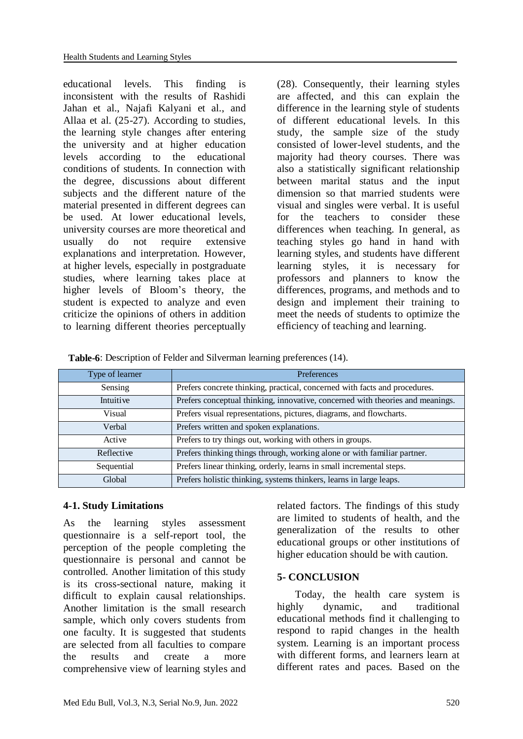educational levels. This finding is inconsistent with the results of Rashidi Jahan et al., Najafi Kalyani et al., and Allaa et al. (25-27). According to studies, the learning style changes after entering the university and at higher education levels according to the educational conditions of students. In connection with the degree, discussions about different subjects and the different nature of the material presented in different degrees can be used. At lower educational levels, university courses are more theoretical and usually do not require extensive explanations and interpretation. However, at higher levels, especially in postgraduate studies, where learning takes place at higher levels of Bloom's theory, the student is expected to analyze and even criticize the opinions of others in addition to learning different theories perceptually

(28). Consequently, their learning styles are affected, and this can explain the difference in the learning style of students of different educational levels. In this study, the sample size of the study consisted of lower-level students, and the majority had theory courses. There was also a statistically significant relationship between marital status and the input dimension so that married students were visual and singles were verbal. It is useful for the teachers to consider these differences when teaching. In general, as teaching styles go hand in hand with learning styles, and students have different learning styles, it is necessary for professors and planners to know the differences, programs, and methods and to design and implement their training to meet the needs of students to optimize the efficiency of teaching and learning.

| <b>Table-6:</b> Description of Felder and Silverman learning preferences (14). |  |
|--------------------------------------------------------------------------------|--|
|--------------------------------------------------------------------------------|--|

| Type of learner | Preferences                                                                    |
|-----------------|--------------------------------------------------------------------------------|
| Sensing         | Prefers concrete thinking, practical, concerned with facts and procedures.     |
| Intuitive       | Prefers conceptual thinking, innovative, concerned with theories and meanings. |
| Visual          | Prefers visual representations, pictures, diagrams, and flowcharts.            |
| Verbal          | Prefers written and spoken explanations.                                       |
| Active          | Prefers to try things out, working with others in groups.                      |
| Reflective      | Prefers thinking things through, working alone or with familiar partner.       |
| Sequential      | Prefers linear thinking, orderly, learns in small incremental steps.           |
| Global          | Prefers holistic thinking, systems thinkers, learns in large leaps.            |

## **4-1. Study Limitations**

As the learning styles assessment questionnaire is a self-report tool, the perception of the people completing the questionnaire is personal and cannot be controlled. Another limitation of this study is its cross-sectional nature, making it difficult to explain causal relationships. Another limitation is the small research sample, which only covers students from one faculty. It is suggested that students are selected from all faculties to compare the results and create a more comprehensive view of learning styles and related factors. The findings of this study are limited to students of health, and the generalization of the results to other educational groups or other institutions of higher education should be with caution.

## **5- CONCLUSION**

 Today, the health care system is highly dynamic, and traditional educational methods find it challenging to respond to rapid changes in the health system. Learning is an important process with different forms, and learners learn at different rates and paces. Based on the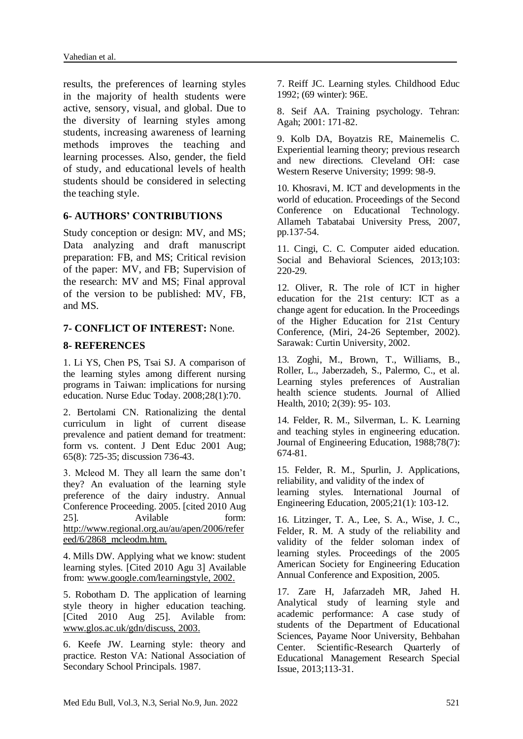results, the preferences of learning styles in the majority of health students were active, sensory, visual, and global. Due to the diversity of learning styles among students, increasing awareness of learning methods improves the teaching and learning processes. Also, gender, the field of study, and educational levels of health students should be considered in selecting the teaching style.

## **6- AUTHORS' CONTRIBUTIONS**

Study conception or design: MV, and MS; Data analyzing and draft manuscript preparation: FB, and MS; Critical revision of the paper: MV, and FB; Supervision of the research: MV and MS; Final approval of the version to be published: MV, FB, and MS.

## **7- CONFLICT OF INTEREST:** None.

## **8- REFERENCES**

1. Li YS, Chen PS, Tsai SJ. A comparison of the learning styles among different nursing programs in Taiwan: implications for nursing education. Nurse Educ Today. 2008;28(1):70.

2. Bertolami CN. Rationalizing the dental curriculum in light of current disease prevalence and patient demand for treatment: form vs. content. J Dent Educ 2001 Aug; 65(8): 725-35; discussion 736-43.

3. Mcleod M. They all learn the same don't they? An evaluation of the learning style preference of the dairy industry. Annual Conference Proceeding. 2005. [cited 2010 Aug 25]. Avilable form: [http://www.regional.org.au/au/apen/2006/refer](http://www.regional.org.au/au/apen/2006/refereed/6/2868_mcleodm.htm) [eed/6/2868\\_mcleodm.htm.](http://www.regional.org.au/au/apen/2006/refereed/6/2868_mcleodm.htm)

4. Mills DW. Applying what we know: student learning styles. [Cited 2010 Agu 3] Available from: www.google.com/learningstyle, 2002.

5. Robotham D. The application of learning style theory in higher education teaching. [Cited 2010 Aug 25]. Avilable from: www.glos.ac.uk/gdn/discuss, 2003.

6. Keefe JW. Learning style: theory and practice. Reston VA: National Association of Secondary School Principals. 1987.

7. Reiff JC. Learning styles. Childhood Educ 1992; (69 winter): 96E.

8. Seif AA. Training psychology. Tehran: Agah; 2001: 171-82.

9. Kolb DA, Boyatzis RE, Mainemelis C. Experiential learning theory; previous research and new directions. Cleveland OH: case Western Reserve University; 1999: 98-9.

10. Khosravi, M. ICT and developments in the world of education. Proceedings of the Second Conference on Educational Technology. Allameh Tabatabai University Press, 2007, pp.137-54.

11. Cingi, C. C. Computer aided education. Social and Behavioral Sciences, 2013;103: 220-29.

12. Oliver, R. The role of ICT in higher education for the 21st century: ICT as a change agent for education. In the Proceedings of the Higher Education for 21st Century Conference, (Miri, 24-26 September, 2002). Sarawak: Curtin University, 2002.

13. Zoghi, M., Brown, T., Williams, B., Roller, L., Jaberzadeh, S., Palermo, C., et al. Learning styles preferences of Australian health science students. Journal of Allied Health, 2010; 2(39): 95- 103.

14. Felder, R. M., Silverman, L. K. Learning and teaching styles in engineering education. Journal of Engineering Education, 1988;78(7): 674-81.

15. Felder, R. M., Spurlin, J. Applications, reliability, and validity of the index of learning styles. International Journal of Engineering Education, 2005;21(1): 103-12.

16. Litzinger, T. A., Lee, S. A., Wise, J. C., Felder, R. M. A study of the reliability and validity of the felder soloman index of learning styles. Proceedings of the 2005 American Society for Engineering Education Annual Conference and Exposition, 2005.

17. Zare H, Jafarzadeh MR, Jahed H. Analytical study of learning style and academic performance: A case study of students of the Department of Educational Sciences, Payame Noor University, Behbahan Center. Scientific-Research Quarterly of Educational Management Research Special Issue, 2013;113-31.